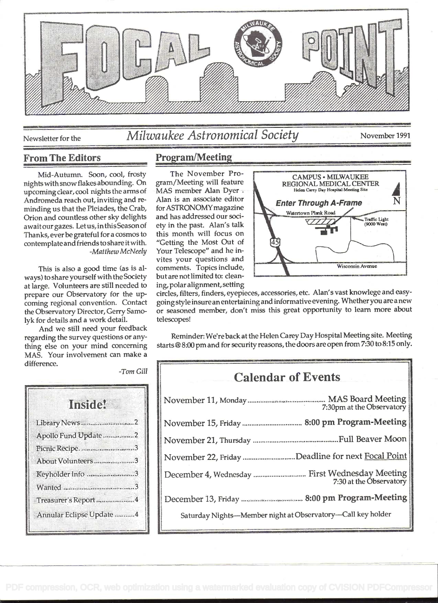

# Newsletter for the Milwaukee Astronomical Society November 1991

#### From The Editors Program/Meeting

Mid-Autumn. Soon, cool, frosty nights with snow flakes abounding. On upcoming clear, cool nights the arms of  $\blacksquare$  MAS member Alan Dyer  $\cdot$  Andromeda reach out, inviting and re- Alan is an associate editor Andromeda reach out, inviting and reminding us that the Pleiades, the Crab, Orion and countless other sky delights await our gazes. Let us, in this Season of Thanks, ever be grateful for a cosmos to contemplate and friends to share it with. -Matthew McNeely

This is also a good time (as is always) to share yourself with the Society at large. Volunteers are still needed to prepare our Observatory for the upcoming regional convention. Contact the Observatory Director, Gerry Samolyk for details and a work detail.

And we still need your feedback regarding the survey questions or anything else on your mind concerning MAS. Your involvement can make a difference.

| <b>Institut</b>      |  |
|----------------------|--|
| Library News 2       |  |
| Apollo Fund Update 2 |  |
| Picnic Recipe. 3     |  |
| About Volunteers3    |  |
| Keyholder Info 3     |  |
|                      |  |
| Treasurer's Report 4 |  |

for ASTRONOMY magazine ety in the past. Alan's talk this month will focus on "Getting the Most Out of Your Telescope" and he invites your questions and but are not limited to: cleaning. polar alignment, setting

The November Pro-<br>
gram/Meeting will feature<br>
MAS member Alan Dver Helen Carey Day Hospital Meeting Site MAS member Alan Dyer .<br>Alan is an associate editor **Forter Through A-Frame Enter Through A-Frame** and has addressed our soci-<br>etv in the past. Alan's talk Canada Computer of Traffic Light<br>(9000 West) comments. Topics include, Wisconsin Avenue

circles, filters, finders, eyepieces, accessories, etc. Alan's vast knowlege and easygoing style insure an entertaining and informative evening. Whetheryou are a new or seasoned member, don't miss this great opportunity to learn more about telescopes!

Reminder: We're back at the Helen Carey Day Hospital Meeting site. Meeting starts @ 8:00 pm and for security reasons, the doors are open from 7:30 to 8:15 only.

# Calendar of Events November 1 1 , Monday ........................................... MAS Board Meeting

| $T_{\text{30pm}}$ at the Observatory                        |  |
|-------------------------------------------------------------|--|
|                                                             |  |
|                                                             |  |
| November 22, Friday Deadline for next Focal Point           |  |
|                                                             |  |
|                                                             |  |
| Saturday Nights-Member night at Observatory-Call key holder |  |

-Tom Gill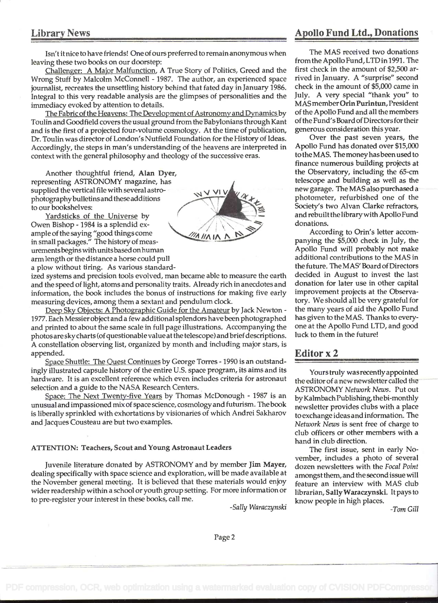### Library News **Apollo Fund Ltd., Donations**

Isn't it nice to have friends! One of ours preferred to remain anonymous when leaving these two books on our doorstep:

Challenger: A Major Malfunction, A True Story of Politics, Greed and the Wrong Stuff by Malcolm McConnell - 1987. The author, an experienced space journalist, recreates the unsettling history behind that fated day in January 1986. Integral to this very readable analysis are the glimpses of personalities and the immediacy evoked by attention to details.

The Fabric of the Heavens: The Development of Astronomy and Dynamics by Toulin and Goodfield covers the usual ground from the Babylonians through Kant and is the first of a projected four-volume cosmology. At the time of publication, Dr. Toulin was director of London's Nutfield Foundation for the History of Ideas. Accordingly, the steps in man's understanding of the heavens are interpreted in context with the general philosophy and theology of the successive eras.

Another thoughtful friend, Alan Dyer, representing ASTRONOMY magazine, has supplied the vertical file with several astro-<br>photography bulletins and these additions

to our bookshelves:<br>Yardsticks of the Universe by Owen Bishop - 1984 is a splendid example of the saying "good things come ample or the saying good things come<br>in small packages." The history of measurementsbegins with unitsbased on human arm length or the distance a horse could pull a plow without tiring. As various standard-



ized systems and precision tools evolved, man became able to measure the earth and the speed of light, atoms and personality traits. Already rich in anecdotes and information, the book includes the bonus of instructions for making five early measuring devices, among them a sextant and pendulum clock.

Deep Sky Objects: A Photographic Guide for the Amateur by Jack Newton - 1977. Each Messier object and a few additional splendors have been photographed and printed to about the same scale in full page illustrations. Accompanying the photos are sky charts (of questionable value at the telescope) and brief descriptions. A constellation observing list, organized by month and including major stars, is appended.

Space Shuttle: The Quest Continues by George Torres - 1990 is an outstandingly illustrated capsule history of the entire U.S. space program, its aims and its hardware. It is an excellent reference which even includes criteria for astronaut selection and a guide to the NASA Research Centers.

Space: The Next Twenty-five Years by Thomas McDonough - 1987 is an unusual and impassioned mix of space science, cosmology and futurism, The book is liberally sprinkled with exhortations by visionaries of which Andrei Sakharov and Jacques Cousteau are but two examples.

#### ATTENTION: Teachers, Scout and Young Astronaut Leaders

Juvenile literature donated by ASTRONOMY and by member Jim Mayer, dealing specifically with space science and exploration, will be made available at the November general meeting. It is believed that these materials would enjoy wider readership within a school or youth group setting. For more information or to pre-register your interest in these books, call me.

-Sally Waraczynski

The MAS received two donations from the Apollo Fund, LTD in 1991. The first check in the amount of \$2,500 arrived in January. A "surprise" second check in the amount of \$5,000 came in July. A very special "thank you" to MAS member Orín Purintun, President of the Apollo Fund and all the members of the Fund's Board of Directors for their generous consideration this year.

Over the past seven years, the Apollo Fund has donated over \$15,000 totheMAS. Themoneyhasbeenused to finance numerous building projects at the Observatory, including the 65-cm telescope and building as well as the new garage. The MAS also purchased a photometer, refurbished one of the Society's two Alvan Clarke refractors, and rebuiltthe librarywith Apollo Fund donations.

According to Orin's letter accom panying the \$5,000 check in July, the Apollo Fund will probably not make additional contributions to the MAS in the future. The MAS' Board of Directors decided in August to invest the last donation for later use in other capital improvement projects at the Observatory. We should all be very grateful for the many years of aid the Apollo Fund has given to the MAS. Thanks to everyone at the Apollo Fund LTD. and good luck to them in the future!

#### Editor x 2

Yours truly was recently appointed the editor of a new newsletter called the ASTRONOMY Network News. Put out by Kalmbach Publishing, the bi-monthly newsletter provides clubs with a place to exchange ideas and information. The Network News is sent free of charge to club officers or other members with a hand in club direction.

The first issue, sent in early November, includes a photo of several dozen newsletters with the Focal Point amongst them, and the second issue will feature an interview with MAS club librarian, Sally Waraczynski. It pays to know people in high places.

-Tom Gill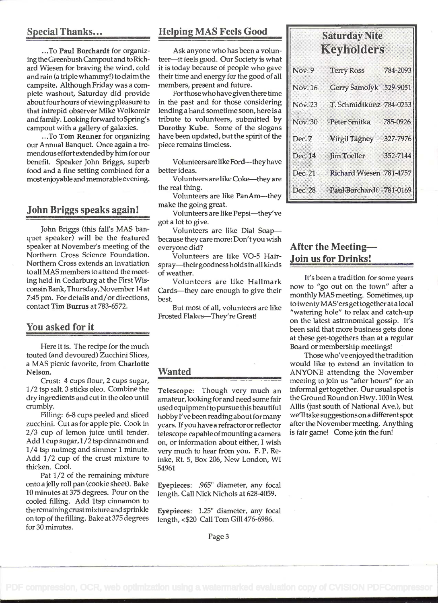... To Paul Borchardt for organizing the Greenbush Campout and to Richard Wiesen for braving the wind, cold and rain (a triple whammy!) to claim the campsite. Although Friday was a complete washout, Saturday did provide about four hours of viewing pleasure to that intrepid observer Mike Wolkomir and family. Looking forward to Spring's campout with a gallery of galaxies.

... To Tom Renner for organizing our Annual Banquet. Once again a tremendous effort extended by him for our benefit. Speaker John Briggs, superb food and a fine setting combined for a mostenjoyable and memorable evening.

#### John Briggs speaks again!

John Briggs (this fall's MAS banquet speaker) will be the featured speaker at November's meeting of the Northern Cross Science Foundation. Northern Cross extends an invatiation to all MAS members to attend the meeting held in Cedarburg at the First WisconsinBank,Thursday,November l4at 7:45 pm. For details and/or directions, contact Tim Burrus at 783-6572.

#### You asked for it

Here it is. The recipe for the much touted (and devoured) Zucchini Slices, a MAS picnic favorite, from Charlotte Nelson.

Crust: 4 cups flour, 2 cups sugar, I /2 tsp salt. 3 sticks oleo. Combine the dry ingredients and cut in the oleo until crumbly.

Filling: 6-8 cups peeled and sliced zucchini. Cut as for apple pie. Cook in 2/3 cup of lemon juice until tender. Add I cup sugar, I /2 tsp cinnamon and 1/4 tsp nutmeg and simmer I minute. Add 1/2 cup of the crust mixture to thicken. Cool.

Pat 1/2 of the remaining mixture onto a jelly roll pan (cookie sheet). Bake 10 minutes at 375 degrees. Pour on the cooled filling. Add ltsp cinnamon to the remaimngcrustmixtureand sprinkle on top of the filling. Bake at 375 degrees for 30 minutes.

### Special Thanks... Helping MAS Feels Good

Ask anyone who has been a volunteer-it feels good. Our Society is what it is today because of people who gave their time and energy for the good of all members, present and future.

For those who have given there time in the past and for those considering lending a hand sometime soon, here is a tribute to volunteers, submitted by Dorothy Kube. Some of the slogans have been updated, but the spirit of the piece remains timeless.

Volunteers are like Ford--they have better ideas.

Volunteers are like Coke-they are the real thing.

Volunteers are like PanAm-they make the going great.

Volunteers are like Pepsi-they've got a lot to give.

Volunteers are like Dial Soapbecause they care more: Don'tyou wish everyone did?

Volunteers are like VO-5 Hairspray-theirgoodness holds in all kinds of weather.

Volunteers are like Hallmark Cards-they care enough to give their best.

But most of all, volunteers are like Frosted Flakes-They're Great!

#### Wanted

Telescope: Though very much an amateur, looking for and need some fair used equipment to pursue this beautiful hobby I've been reading about for many years. Ifyou have a refractor or reflector telescope capable ofmounting a camera on, or information about either, I wish very much to hear from you. F. P. Reinke, Rt. 5, Box 206, New London, WI 54961

Eyepieces: .965" diameter, any focal length. Call Nick Nichols at 628-4059.

Eyepieces: 1.25" diameter, any focal length, <\$20 Call Tom Gill 476-6986.

| Saturday Nite<br>Keyholders |                                 |          |
|-----------------------------|---------------------------------|----------|
| Nov.9                       | <b>Terry Ross</b>               | 784-2093 |
| Nov. 16                     | Gerry Samolyk 529-9051          |          |
| <b>Nov.23</b>               | T. Schmidtkunz 784-0253         |          |
| <b>Nov.30</b>               | Peter Smitka                    | 785-0926 |
| Dec. <sub>7</sub>           | Virgil Tagney 327-7976          |          |
| Dec. 14                     | Jim Toeller                     | 352-7144 |
|                             | Dec. 21 Richard Wiesen 781-4757 |          |
| Dec. 28                     | Paul Borchardt 781-0169         |          |

### After the Meeting-!oin us for Drinks!

It's been a tradition for some years now to "go out on the town" after a monthly MAS meeting. Sometimes, up to twenty MAS'ers get together ata local "watering hole" to relax and catch-up on the latest astronomical gossip. It's been said that more business gets done at these get-togethers than at a regular Board or membership meetings!

Those who've enjoyed the tradition would like to extend an invitation to ANYONE attending the November meeting to join us "after hours" for an informal get together. Our usual spot is theGround RoundonHwy. 100 in West Allis (just south of National Ave.), but we'll take suggestionson a different spot after the November meeting. Anything is fair game! Come join the fun!